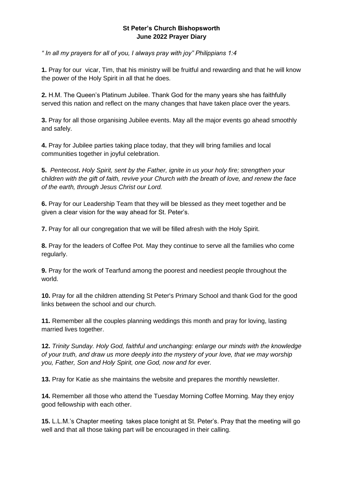## **St Peter's Church Bishopsworth June 2022 Prayer Diary**

*" In all my prayers for all of you, I always pray with joy" Philippians 1:4*

**1.** Pray for our vicar, Tim, that his ministry will be fruitful and rewarding and that he will know the power of the Holy Spirit in all that he does.

**2.** H.M. The Queen's Platinum Jubilee. Thank God for the many years she has faithfully served this nation and reflect on the many changes that have taken place over the years.

**3.** Pray for all those organising Jubilee events. May all the major events go ahead smoothly and safely.

**4.** Pray for Jubilee parties taking place today, that they will bring families and local communities together in joyful celebration.

**5.** *Pentecost***.** *Holy Spirit, sent by the Father, ignite in us your holy fire; strengthen your children with the gift of faith, revive your Church with the breath of love, and renew the face of the earth, through Jesus Christ our Lord.*

**6.** Pray for our Leadership Team that they will be blessed as they meet together and be given a clear vision for the way ahead for St. Peter's.

**7.** Pray for all our congregation that we will be filled afresh with the Holy Spirit.

**8.** Pray for the leaders of Coffee Pot. May they continue to serve all the families who come regularly.

**9.** Pray for the work of Tearfund among the poorest and neediest people throughout the world.

**10.** Pray for all the children attending St Peter's Primary School and thank God for the good links between the school and our church.

**11.** Remember all the couples planning weddings this month and pray for loving, lasting married lives together.

**12.** *Trinity Sunday. Holy God, faithful and unchanging: enlarge our minds with the knowledge of your truth, and draw us more deeply into the mystery of your love, that we may worship you, Father, Son and Holy Spirit, one God, now and for ever.*

**13.** Pray for Katie as she maintains the website and prepares the monthly newsletter.

**14.** Remember all those who attend the Tuesday Morning Coffee Morning. May they enjoy good fellowship with each other.

**15.** L.L.M.'s Chapter meeting takes place tonight at St. Peter's. Pray that the meeting will go well and that all those taking part will be encouraged in their calling.